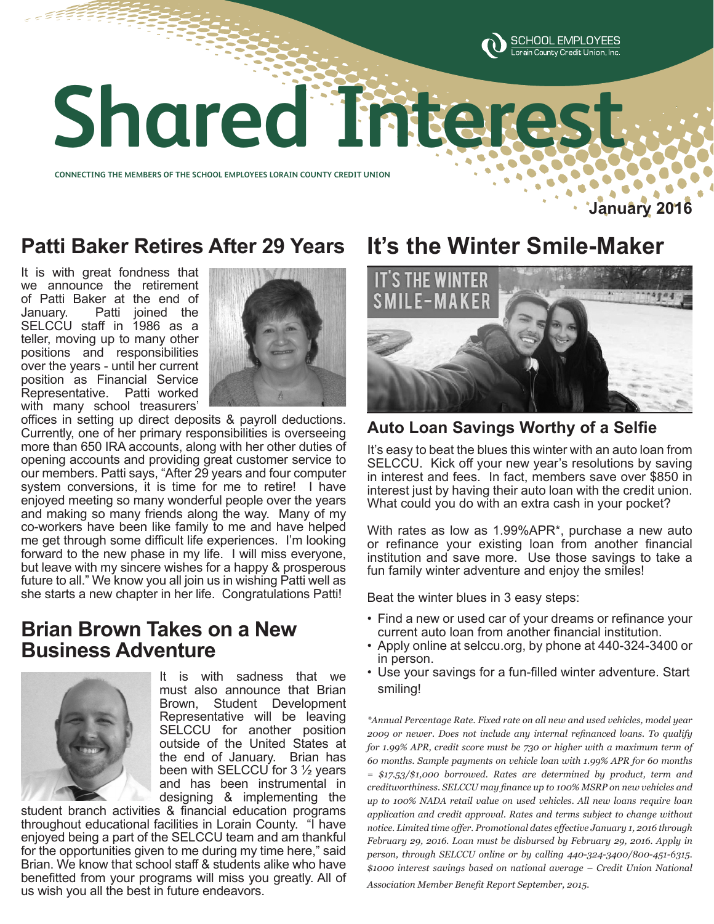

# **Shared Interest Shared Interest**

**CONNECTING THE MEMBERS OF THE SCHOOL EMPLOYEES LORAIN COUNTY CREDIT UNION CONNECTING THE MEMBERS OF THE SCHOOL EMPLOYEES LORAIN COUNTY CREDIT UNION** 

**January 2016**

## **Patti Baker Retires After 29 Years**

It is with great fondness that we announce the retirement of Patti Baker at the end of January. Patti joined the SELCCU staff in 1986 as a teller, moving up to many other positions and responsibilities over the years - until her current position as Financial Service Representative. Patti worked with many school treasurers'



offices in setting up direct deposits & payroll deductions. Currently, one of her primary responsibilities is overseeing more than 650 IRA accounts, along with her other duties of opening accounts and providing great customer service to our members. Patti says, "After 29 years and four computer system conversions, it is time for me to retire! I have enjoyed meeting so many wonderful people over the years and making so many friends along the way. Many of my co-workers have been like family to me and have helped me get through some difficult life experiences. I'm looking forward to the new phase in my life. I will miss everyone, but leave with my sincere wishes for a happy & prosperous future to all." We know you all join us in wishing Patti well as she starts a new chapter in her life. Congratulations Patti!

## **Brian Brown Takes on a New Business Adventure**



It is with sadness that we must also announce that Brian Brown, Student Development Representative will be leaving SELCCU for another position outside of the United States at the end of January. Brian has been with SELCCU for 3 ½ years and has been instrumental in designing & implementing the

student branch activities & financial education programs throughout educational facilities in Lorain County. "I have enjoyed being a part of the SELCCU team and am thankful for the opportunities given to me during my time here," said Brian. We know that school staff & students alike who have benefitted from your programs will miss you greatly. All of us wish you all the best in future endeavors.

# **It's the Winter Smile-Maker**



#### **Auto Loan Savings Worthy of a Selfie**

It's easy to beat the blues this winter with an auto loan from SELCCU. Kick off your new year's resolutions by saving in interest and fees. In fact, members save over \$850 in interest just by having their auto loan with the credit union. What could you do with an extra cash in your pocket?

With rates as low as 1.99%APR\*, purchase a new auto or refinance your existing loan from another financial institution and save more. Use those savings to take a fun family winter adventure and enjoy the smiles!

Beat the winter blues in 3 easy steps:

- Find a new or used car of your dreams or refinance your current auto loan from another financial institution.
- Apply online at selccu.org, by phone at 440-324-3400 or in person.
- Use your savings for a fun-filled winter adventure. Start smiling!

*\*Annual Percentage Rate. Fixed rate on all new and used vehicles, model year 2009 or newer. Does not include any internal refinanced loans. To qualify for 1.99% APR, credit score must be 730 or higher with a maximum term of 60 months. Sample payments on vehicle loan with 1.99% APR for 60 months = \$17.53/\$1,000 borrowed. Rates are determined by product, term and creditworthiness. SELCCU may finance up to 100% MSRP on new vehicles and up to 100% NADA retail value on used vehicles. All new loans require loan application and credit approval. Rates and terms subject to change without notice. Limited time offer. Promotional dates effective January 1, 2016 through February 29, 2016. Loan must be disbursed by February 29, 2016. Apply in person, through SELCCU online or by calling 440-324-3400/800-451-6315. \$1000 interest savings based on national average – Credit Union National Association Member Benefit Report September, 2015.*